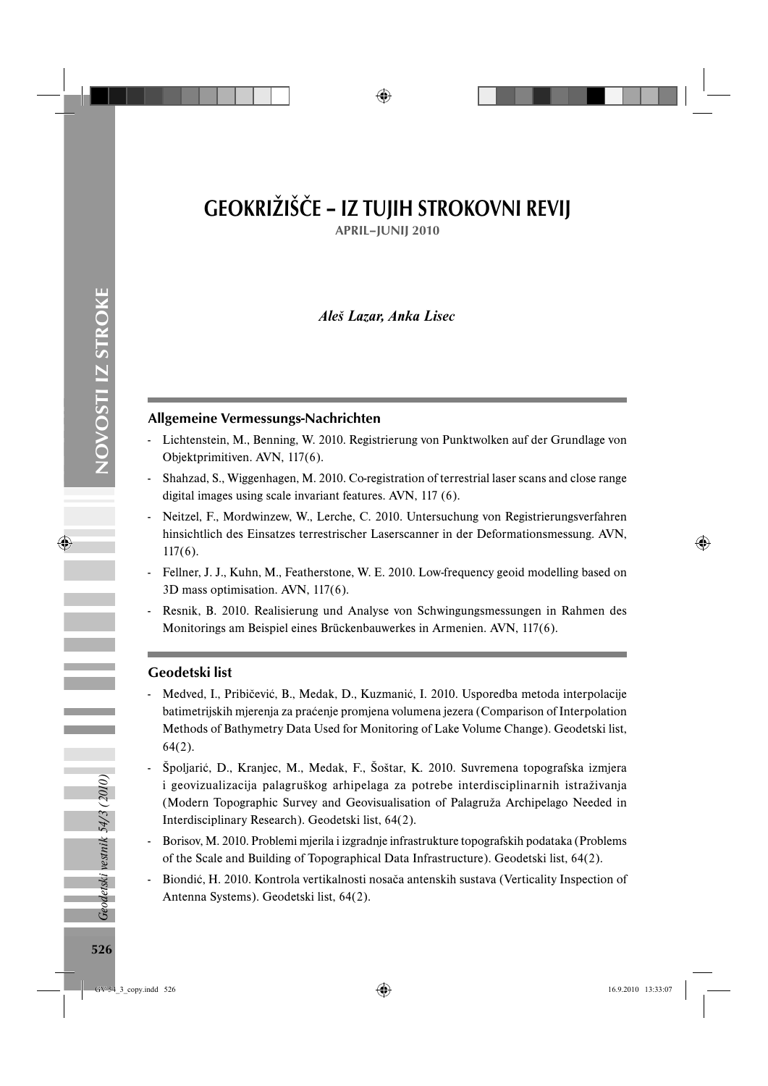# GEOKRIŽIŠČE – IZ TUJIH STROKOVNI REVIJ

APRIL–JUNIJ 2010

# *Aleš Lazar, Anka Lisec*

#### Allgemeine Vermessungs-Nachrichten

- Lichtenstein, M., Benning, W. 2010. Registrierung von Punktwolken auf der Grundlage von Objektprimitiven. AVN, 117(6).
- Shahzad, S., Wiggenhagen, M. 2010. Co-registration of terrestrial laser scans and close range digital images using scale invariant features. AVN, 117 (6).
- Neitzel, F., Mordwinzew, W., Lerche, C. 2010. Untersuchung von Registrierungsverfahren hinsichtlich des Einsatzes terrestrischer Laserscanner in der Deformationsmessung. AVN, 117(6).
- Fellner, J. J., Kuhn, M., Featherstone, W. E. 2010. Low-frequency geoid modelling based on 3D mass optimisation. AVN, 117(6).
- Resnik, B. 2010. Realisierung und Analyse von Schwingungsmessungen in Rahmen des Monitorings am Beispiel eines Brückenbauwerkes in Armenien. AVN, 117(6).

#### Geodetski list

- Medved, I., Pribičević, B., Medak, D., Kuzmanić, I. 2010. Usporedba metoda interpolacije batimetrijskih mjerenja za praćenje promjena volumena jezera (Comparison of Interpolation Methods of Bathymetry Data Used for Monitoring of Lake Volume Change). Geodetski list, 64(2).
- Špoljarić, D., Kranjec, M., Medak, F., Šoštar, K. 2010. Suvremena topografska izmjera i geovizualizacija palagruškog arhipelaga za potrebe interdisciplinarnih istraživanja (Modern Topographic Survey and Geovisualisation of Palagruža Archipelago Needed in Interdisciplinary Research). Geodetski list, 64(2).
- Borisov, M. 2010. Problemi mjerila i izgradnje infrastrukture topografskih podataka (Problems of the Scale and Building of Topographical Data Infrastructure). Geodetski list, 64(2).
- Biondić, H. 2010. Kontrola vertikalnosti nosača antenskih sustava (Verticality Inspection of Antenna Systems). Geodetski list, 64(2).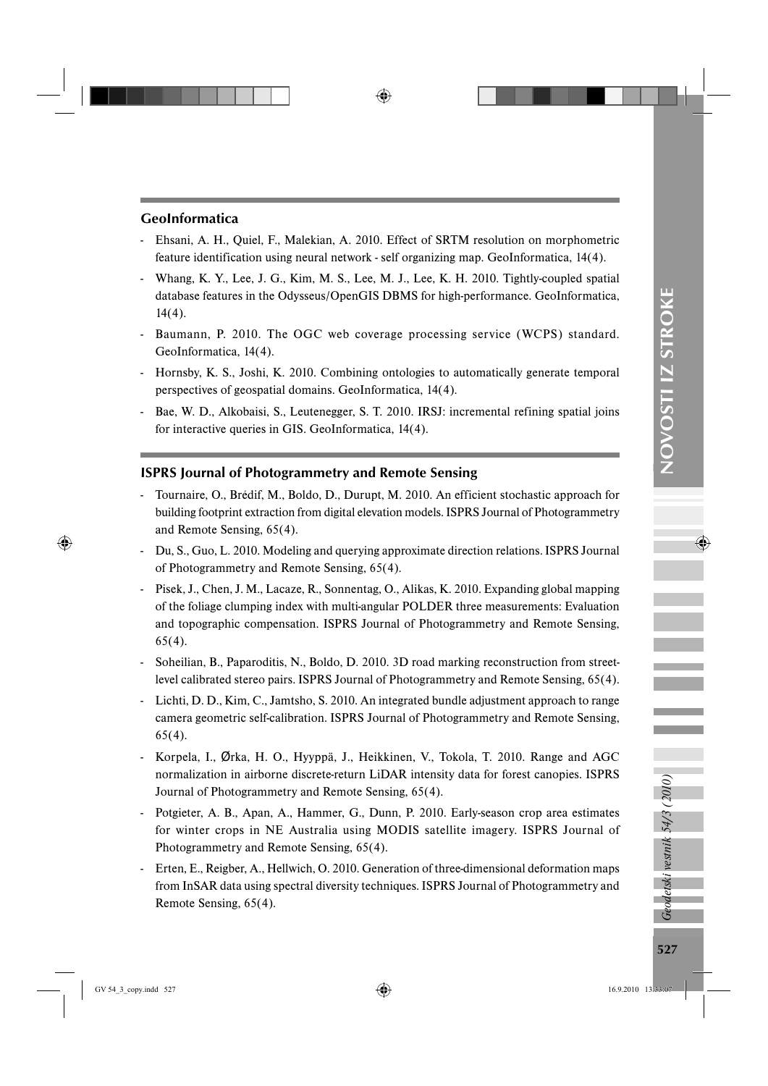## GeoInformatica

- Ehsani, A. H., Quiel, F., Malekian, A. 2010. Effect of SRTM resolution on morphometric feature identification using neural network - self organizing map. GeoInformatica, 14(4).
- Whang, K. Y., Lee, J. G., Kim, M. S., Lee, M. J., Lee, K. H. 2010. Tightly-coupled spatial database features in the Odysseus/OpenGIS DBMS for high-performance. GeoInformatica, 14(4).
- Baumann, P. 2010. The OGC web coverage processing service (WCPS) standard. GeoInformatica, 14(4).
- Hornsby, K. S., Joshi, K. 2010. Combining ontologies to automatically generate temporal perspectives of geospatial domains. GeoInformatica, 14(4).
- Bae, W. D., Alkobaisi, S., Leutenegger, S. T. 2010. IRSJ: incremental refining spatial joins for interactive queries in GIS. GeoInformatica, 14(4).

## ISPRS Journal of Photogrammetry and Remote Sensing

- Tournaire, O., Brédif, M., Boldo, D., Durupt, M. 2010. An efficient stochastic approach for building footprint extraction from digital elevation models. ISPRS Journal of Photogrammetry and Remote Sensing, 65(4).
- Du, S., Guo, L. 2010. Modeling and querying approximate direction relations. ISPRS Journal of Photogrammetry and Remote Sensing, 65(4).
- Pisek, J., Chen, J. M., Lacaze, R., Sonnentag, O., Alikas, K. 2010. Expanding global mapping of the foliage clumping index with multi-angular POLDER three measurements: Evaluation and topographic compensation. ISPRS Journal of Photogrammetry and Remote Sensing, 65(4).
- Soheilian, B., Paparoditis, N., Boldo, D. 2010. 3D road marking reconstruction from streetlevel calibrated stereo pairs. ISPRS Journal of Photogrammetry and Remote Sensing, 65(4).
- Lichti, D. D., Kim, C., Jamtsho, S. 2010. An integrated bundle adjustment approach to range camera geometric self-calibration. ISPRS Journal of Photogrammetry and Remote Sensing, 65(4).
- Korpela, I., Ørka, H. O., Hyyppä, J., Heikkinen, V., Tokola, T. 2010. Range and AGC normalization in airborne discrete-return LiDAR intensity data for forest canopies. ISPRS Journal of Photogrammetry and Remote Sensing, 65(4).
- Potgieter, A. B., Apan, A., Hammer, G., Dunn, P. 2010. Early-season crop area estimates for winter crops in NE Australia using MODIS satellite imagery. ISPRS Journal of Photogrammetry and Remote Sensing, 65(4).
- Erten, E., Reigber, A., Hellwich, O. 2010. Generation of three-dimensional deformation maps from InSAR data using spectral diversity techniques. ISPRS Journal of Photogrammetry and Remote Sensing, 65(4).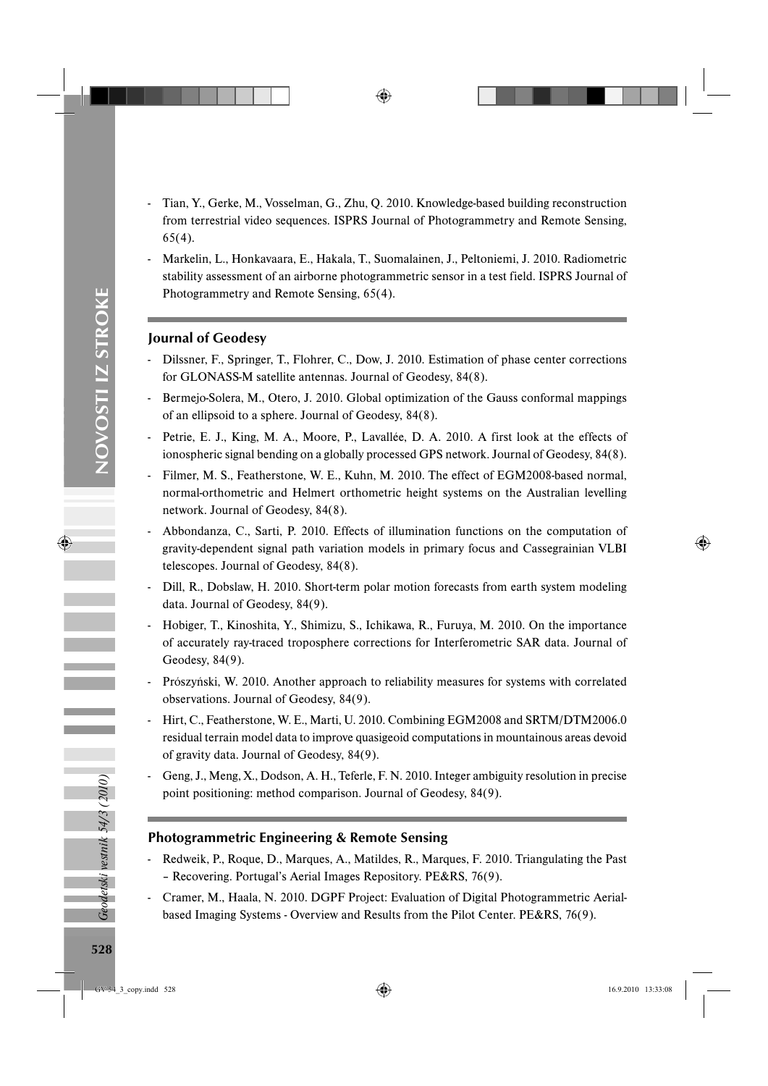- Tian, Y., Gerke, M., Vosselman, G., Zhu, Q. 2010. Knowledge-based building reconstruction from terrestrial video sequences. ISPRS Journal of Photogrammetry and Remote Sensing, 65(4).
- Markelin, L., Honkavaara, E., Hakala, T., Suomalainen, J., Peltoniemi, J. 2010. Radiometric stability assessment of an airborne photogrammetric sensor in a test field. ISPRS Journal of Photogrammetry and Remote Sensing, 65(4).

## Journal of Geodesy

- Dilssner, F., Springer, T., Flohrer, C., Dow, J. 2010. Estimation of phase center corrections for GLONASS-M satellite antennas. Journal of Geodesy, 84(8).
- Bermejo-Solera, M., Otero, J. 2010. Global optimization of the Gauss conformal mappings of an ellipsoid to a sphere. Journal of Geodesy, 84(8).
- Petrie, E. J., King, M. A., Moore, P., Lavallée, D. A. 2010. A first look at the effects of ionospheric signal bending on a globally processed GPS network. Journal of Geodesy, 84(8).
- Filmer, M. S., Featherstone, W. E., Kuhn, M. 2010. The effect of EGM2008-based normal, normal-orthometric and Helmert orthometric height systems on the Australian levelling network. Journal of Geodesy, 84(8).
- Abbondanza, C., Sarti, P. 2010. Effects of illumination functions on the computation of gravity-dependent signal path variation models in primary focus and Cassegrainian VLBI telescopes. Journal of Geodesy, 84(8).
- Dill, R., Dobslaw, H. 2010. Short-term polar motion forecasts from earth system modeling data. Journal of Geodesy, 84(9).
- Hobiger, T., Kinoshita, Y., Shimizu, S., Ichikawa, R., Furuya, M. 2010. On the importance of accurately ray-traced troposphere corrections for Interferometric SAR data. Journal of Geodesy, 84(9).
- Prószyński, W. 2010. Another approach to reliability measures for systems with correlated observations. Journal of Geodesy, 84(9).
- Hirt, C., Featherstone, W. E., Marti, U. 2010. Combining EGM2008 and SRTM/DTM2006.0 residual terrain model data to improve quasigeoid computations in mountainous areas devoid of gravity data. Journal of Geodesy, 84(9).
- Geng, J., Meng, X., Dodson, A. H., Teferle, F. N. 2010. Integer ambiguity resolution in precise point positioning: method comparison. Journal of Geodesy, 84(9).

## Photogrammetric Engineering & Remote Sensing

- Redweik, P., Roque, D., Marques, A., Matildes, R., Marques, F. 2010. Triangulating the Past – Recovering. Portugal's Aerial Images Repository. PE&RS, 76(9).
- Cramer, M., Haala, N. 2010. DGPF Project: Evaluation of Digital Photogrammetric Aerialbased Imaging Systems - Overview and Results from the Pilot Center. PE&RS, 76(9).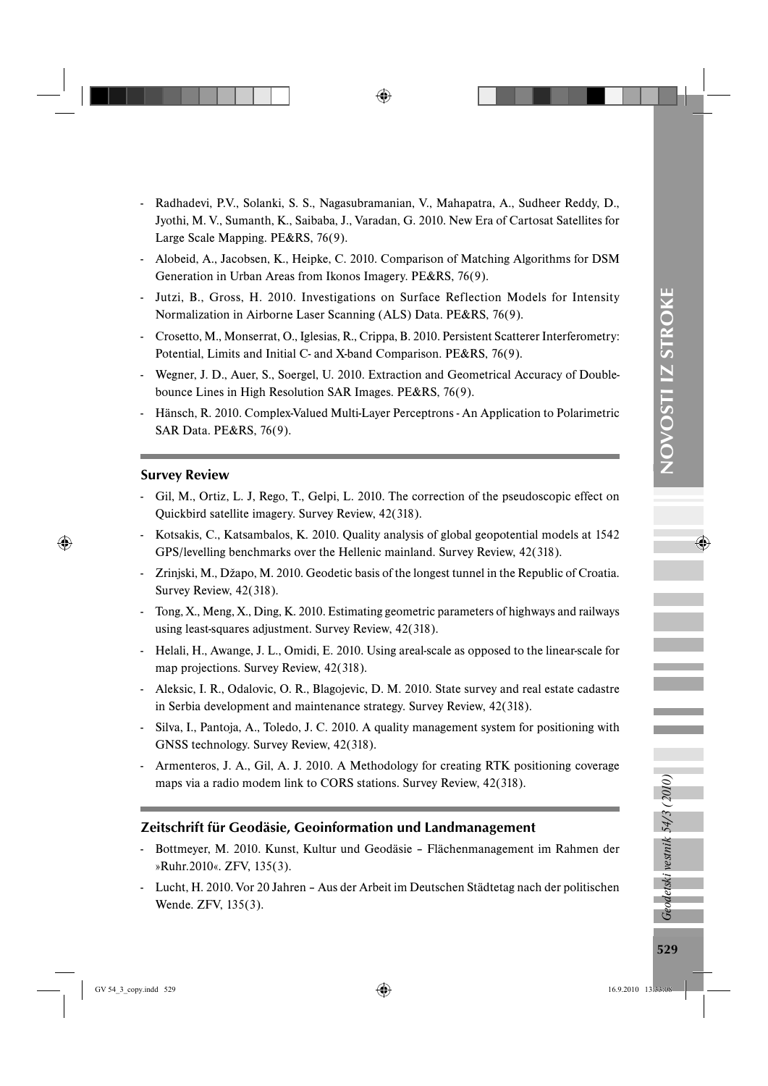- Radhadevi, P.V., Solanki, S. S., Nagasubramanian, V., Mahapatra, A., Sudheer Reddy, D., Jyothi, M. V., Sumanth, K., Saibaba, J., Varadan, G. 2010. New Era of Cartosat Satellites for Large Scale Mapping. PE&RS, 76(9).
- Alobeid, A., Jacobsen, K., Heipke, C. 2010. Comparison of Matching Algorithms for DSM Generation in Urban Areas from Ikonos Imagery. PE&RS, 76(9).
- Jutzi, B., Gross, H. 2010. Investigations on Surface Reflection Models for Intensity Normalization in Airborne Laser Scanning (ALS) Data. PE&RS, 76(9).
- Crosetto, M., Monserrat, O., Iglesias, R., Crippa, B. 2010. Persistent Scatterer Interferometry: Potential, Limits and Initial C- and X-band Comparison. PE&RS, 76(9).
- Wegner, J. D., Auer, S., Soergel, U. 2010. Extraction and Geometrical Accuracy of Doublebounce Lines in High Resolution SAR Images. PE&RS, 76(9).
- Hänsch, R. 2010. Complex-Valued Multi-Layer Perceptrons An Application to Polarimetric SAR Data. PE&RS, 76(9).

#### Survey Review

- Gil, M., Ortiz, L. J, Rego, T., Gelpi, L. 2010. The correction of the pseudoscopic effect on Quickbird satellite imagery. Survey Review, 42(318).
- Kotsakis, C., Katsambalos, K. 2010. Quality analysis of global geopotential models at 1542 GPS/levelling benchmarks over the Hellenic mainland. Survey Review, 42(318).
- Zrinjski, M., Džapo, M. 2010. Geodetic basis of the longest tunnel in the Republic of Croatia. Survey Review, 42(318).
- Tong, X., Meng, X., Ding, K. 2010. Estimating geometric parameters of highways and railways using least-squares adjustment. Survey Review, 42(318).
- Helali, H., Awange, J. L., Omidi, E. 2010. Using areal-scale as opposed to the linear-scale for map projections. Survey Review, 42(318).
- Aleksic, I. R., Odalovic, O. R., Blagojevic, D. M. 2010. State survey and real estate cadastre in Serbia development and maintenance strategy. Survey Review, 42(318).
- Silva, I., Pantoja, A., Toledo, J. C. 2010. A quality management system for positioning with GNSS technology. Survey Review, 42(318).
- Armenteros, J. A., Gil, A. J. 2010. A Methodology for creating RTK positioning coverage maps via a radio modem link to CORS stations. Survey Review, 42(318).

## Zeitschrift für Geodäsie, Geoinformation und Landmanagement

- Bottmeyer, M. 2010. Kunst, Kultur und Geodäsie Flächenmanagement im Rahmen der »Ruhr.2010«. ZFV, 135(3).
- Lucht, H. 2010. Vor 20 Jahren Aus der Arbeit im Deutschen Städtetag nach der politischen Wende. ZFV, 135(3).